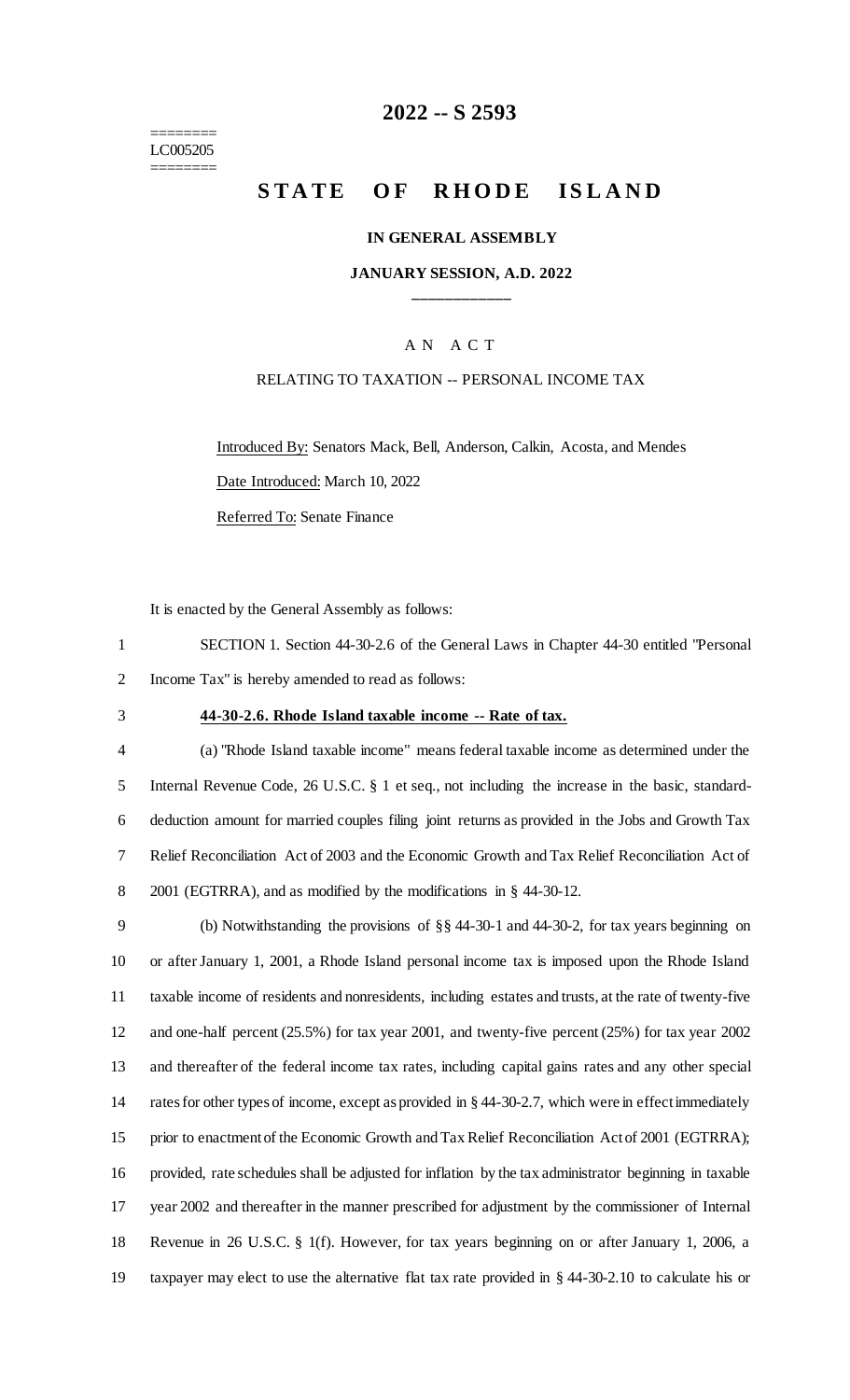======== LC005205 ========

## **2022 -- S 2593**

# **STATE OF RHODE ISLAND**

#### **IN GENERAL ASSEMBLY**

### **JANUARY SESSION, A.D. 2022 \_\_\_\_\_\_\_\_\_\_\_\_**

### A N A C T

### RELATING TO TAXATION -- PERSONAL INCOME TAX

Introduced By: Senators Mack, Bell, Anderson, Calkin, Acosta, and Mendes Date Introduced: March 10, 2022 Referred To: Senate Finance

It is enacted by the General Assembly as follows:

1 SECTION 1. Section 44-30-2.6 of the General Laws in Chapter 44-30 entitled "Personal 2 Income Tax" is hereby amended to read as follows:

#### 3 **44-30-2.6. Rhode Island taxable income -- Rate of tax.**

 (a) "Rhode Island taxable income" means federal taxable income as determined under the Internal Revenue Code, 26 U.S.C. § 1 et seq., not including the increase in the basic, standard- deduction amount for married couples filing joint returns as provided in the Jobs and Growth Tax Relief Reconciliation Act of 2003 and the Economic Growth and Tax Relief Reconciliation Act of 2001 (EGTRRA), and as modified by the modifications in § 44-30-12.

 (b) Notwithstanding the provisions of §§ 44-30-1 and 44-30-2, for tax years beginning on or after January 1, 2001, a Rhode Island personal income tax is imposed upon the Rhode Island taxable income of residents and nonresidents, including estates and trusts, at the rate of twenty-five and one-half percent (25.5%) for tax year 2001, and twenty-five percent (25%) for tax year 2002 and thereafter of the federal income tax rates, including capital gains rates and any other special rates for other types of income, except as provided in § 44-30-2.7, which were in effect immediately 15 prior to enactment of the Economic Growth and Tax Relief Reconciliation Act of 2001 (EGTRRA); provided, rate schedules shall be adjusted for inflation by the tax administrator beginning in taxable year 2002 and thereafter in the manner prescribed for adjustment by the commissioner of Internal Revenue in 26 U.S.C. § 1(f). However, for tax years beginning on or after January 1, 2006, a taxpayer may elect to use the alternative flat tax rate provided in § 44-30-2.10 to calculate his or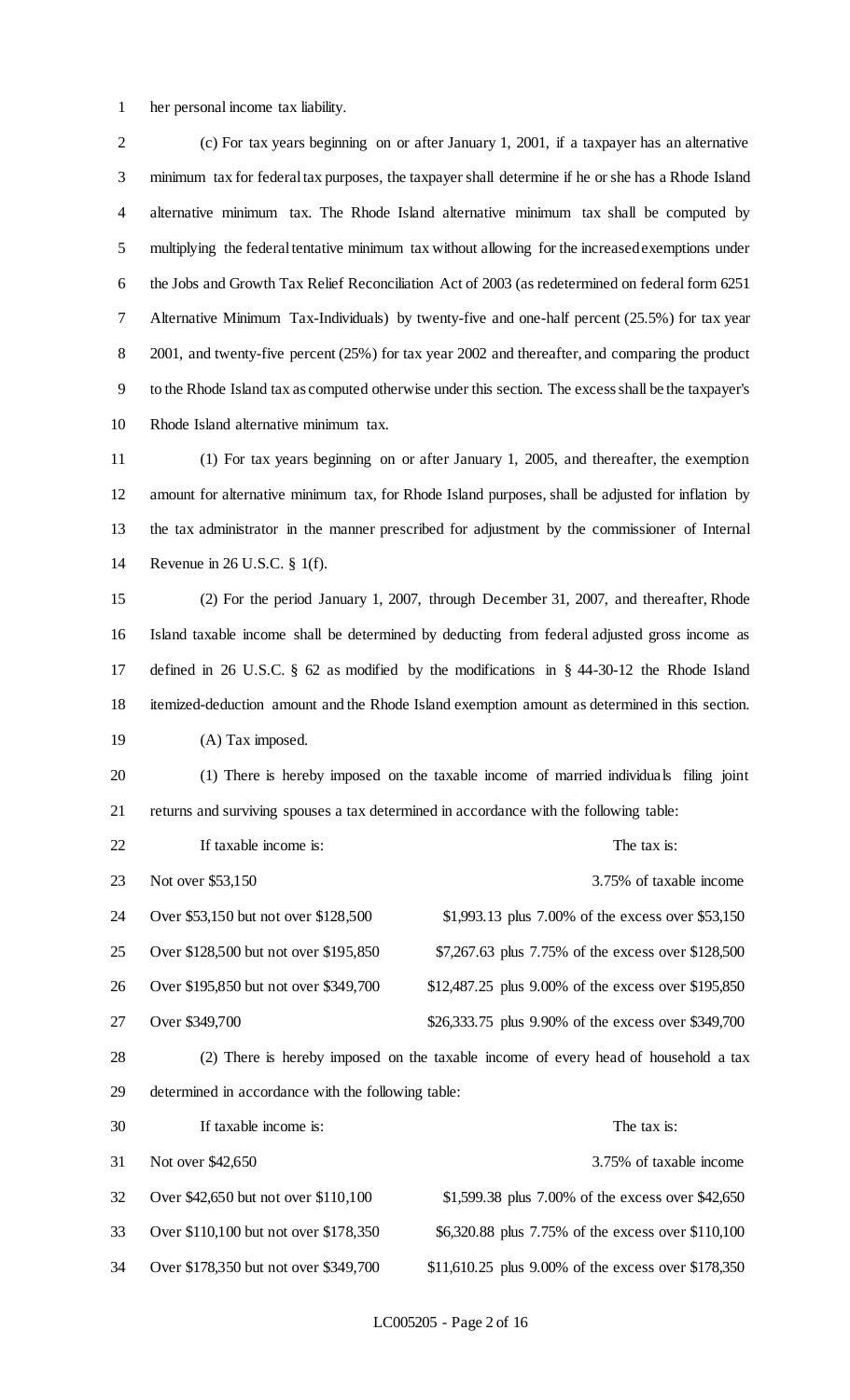her personal income tax liability.

 (c) For tax years beginning on or after January 1, 2001, if a taxpayer has an alternative minimum tax for federal tax purposes, the taxpayer shall determine if he or she has a Rhode Island alternative minimum tax. The Rhode Island alternative minimum tax shall be computed by multiplying the federal tentative minimum tax without allowing for the increased exemptions under the Jobs and Growth Tax Relief Reconciliation Act of 2003 (as redetermined on federal form 6251 Alternative Minimum Tax-Individuals) by twenty-five and one-half percent (25.5%) for tax year 2001, and twenty-five percent (25%) for tax year 2002 and thereafter, and comparing the product to the Rhode Island tax as computed otherwise under this section. The excess shall be the taxpayer's Rhode Island alternative minimum tax.

 (1) For tax years beginning on or after January 1, 2005, and thereafter, the exemption amount for alternative minimum tax, for Rhode Island purposes, shall be adjusted for inflation by the tax administrator in the manner prescribed for adjustment by the commissioner of Internal Revenue in 26 U.S.C. § 1(f).

 (2) For the period January 1, 2007, through December 31, 2007, and thereafter, Rhode Island taxable income shall be determined by deducting from federal adjusted gross income as defined in 26 U.S.C. § 62 as modified by the modifications in § 44-30-12 the Rhode Island itemized-deduction amount and the Rhode Island exemption amount as determined in this section. (A) Tax imposed.

 (1) There is hereby imposed on the taxable income of married individuals filing joint returns and surviving spouses a tax determined in accordance with the following table:

22 If taxable income is: The tax is: The tax is:

| 23 | Not over \$53,150                     | 3.75% of taxable income                                                            |
|----|---------------------------------------|------------------------------------------------------------------------------------|
| 24 | Over \$53,150 but not over \$128,500  | \$1,993.13 plus 7.00% of the excess over \$53,150                                  |
| 25 | Over \$128,500 but not over \$195,850 | \$7,267.63 plus 7.75% of the excess over \$128,500                                 |
| 26 | Over \$195,850 but not over \$349,700 | \$12,487.25 plus 9.00% of the excess over \$195,850                                |
| 27 | Over \$349,700                        | \$26,333.75 plus 9.90% of the excess over \$349,700                                |
| ററ |                                       | (2) There is houster inmosed on the textble income of examples of household a text |

 (2) There is hereby imposed on the taxable income of every head of household a tax determined in accordance with the following table:

| 30 | If taxable income is:                 | The tax is:                                         |
|----|---------------------------------------|-----------------------------------------------------|
| 31 | Not over \$42,650                     | 3.75% of taxable income                             |
| 32 | Over \$42,650 but not over \$110,100  | \$1,599.38 plus 7.00% of the excess over \$42,650   |
| 33 | Over \$110,100 but not over \$178,350 | \$6,320.88 plus 7.75% of the excess over \$110,100  |
| 34 | Over \$178,350 but not over \$349,700 | \$11,610.25 plus 9.00% of the excess over \$178,350 |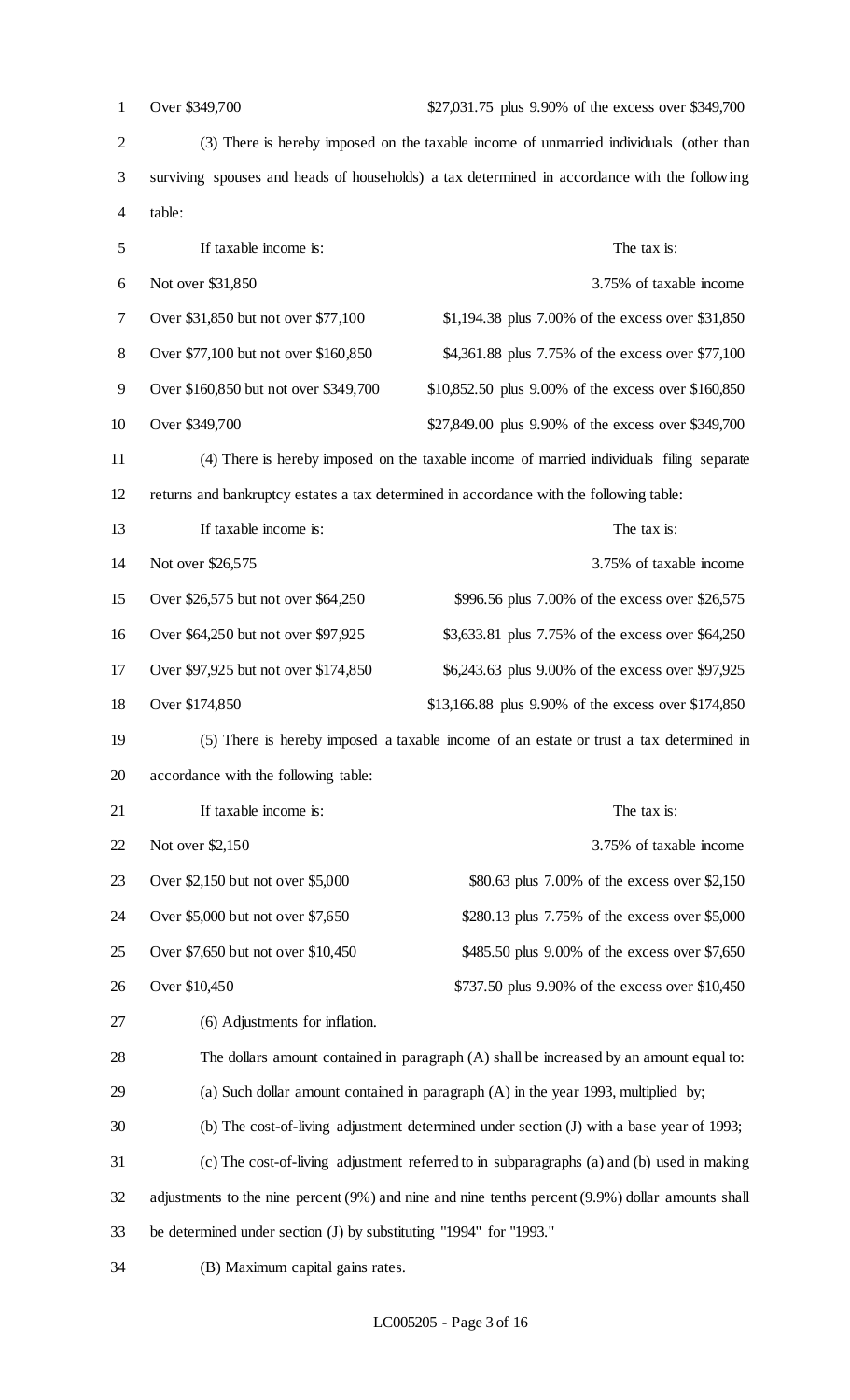| $\mathbf{1}$   | Over \$349,700<br>\$27,031.75 plus 9.90% of the excess over \$349,700                        |                                                                                                   |  |
|----------------|----------------------------------------------------------------------------------------------|---------------------------------------------------------------------------------------------------|--|
| $\overline{2}$ | (3) There is hereby imposed on the taxable income of unmarried individuals (other than       |                                                                                                   |  |
| 3              | surviving spouses and heads of households) a tax determined in accordance with the following |                                                                                                   |  |
| 4              | table:                                                                                       |                                                                                                   |  |
| 5              | If taxable income is:<br>The tax is:                                                         |                                                                                                   |  |
| 6              | Not over \$31,850<br>3.75% of taxable income                                                 |                                                                                                   |  |
| 7              | Over \$31,850 but not over \$77,100<br>\$1,194.38 plus 7.00% of the excess over \$31,850     |                                                                                                   |  |
| $8\,$          | Over \$77,100 but not over \$160,850<br>\$4,361.88 plus 7.75% of the excess over \$77,100    |                                                                                                   |  |
| 9              | Over \$160,850 but not over \$349,700<br>\$10,852.50 plus 9.00% of the excess over \$160,850 |                                                                                                   |  |
| 10             | Over \$349,700                                                                               | \$27,849.00 plus 9.90% of the excess over \$349,700                                               |  |
| 11             |                                                                                              | (4) There is hereby imposed on the taxable income of married individuals filing separate          |  |
| 12             |                                                                                              | returns and bankruptcy estates a tax determined in accordance with the following table:           |  |
| 13             | If taxable income is:                                                                        | The tax is:                                                                                       |  |
| 14             | Not over \$26,575                                                                            | 3.75% of taxable income                                                                           |  |
| 15             | Over \$26,575 but not over \$64,250                                                          | \$996.56 plus 7.00% of the excess over \$26,575                                                   |  |
| 16             | Over \$64,250 but not over \$97,925                                                          | \$3,633.81 plus 7.75% of the excess over \$64,250                                                 |  |
| 17             | Over \$97,925 but not over \$174,850                                                         | \$6,243.63 plus 9.00% of the excess over \$97,925                                                 |  |
| 18             | Over \$174,850                                                                               | \$13,166.88 plus 9.90% of the excess over \$174,850                                               |  |
| 19             |                                                                                              | (5) There is hereby imposed a taxable income of an estate or trust a tax determined in            |  |
| 20             | accordance with the following table:                                                         |                                                                                                   |  |
| 21             | If taxable income is:                                                                        | The tax is:                                                                                       |  |
| 22             | Not over \$2,150                                                                             | 3.75% of taxable income                                                                           |  |
| 23             | Over \$2,150 but not over \$5,000                                                            | \$80.63 plus 7.00% of the excess over \$2,150                                                     |  |
| 24             | Over \$5,000 but not over \$7,650<br>\$280.13 plus 7.75% of the excess over \$5,000          |                                                                                                   |  |
| 25             | Over \$7,650 but not over \$10,450                                                           | \$485.50 plus 9.00% of the excess over \$7,650                                                    |  |
| 26             | Over \$10,450                                                                                | \$737.50 plus 9.90% of the excess over \$10,450                                                   |  |
| 27             | (6) Adjustments for inflation.                                                               |                                                                                                   |  |
| 28             |                                                                                              | The dollars amount contained in paragraph (A) shall be increased by an amount equal to:           |  |
| 29             | (a) Such dollar amount contained in paragraph $(A)$ in the year 1993, multiplied by;         |                                                                                                   |  |
| 30             | (b) The cost-of-living adjustment determined under section (J) with a base year of 1993;     |                                                                                                   |  |
| 31             | (c) The cost-of-living adjustment referred to in subparagraphs (a) and (b) used in making    |                                                                                                   |  |
| 32             |                                                                                              | adjustments to the nine percent (9%) and nine and nine tenths percent (9.9%) dollar amounts shall |  |
| 33             | be determined under section (J) by substituting "1994" for "1993."                           |                                                                                                   |  |
| 34             | (B) Maximum capital gains rates.                                                             |                                                                                                   |  |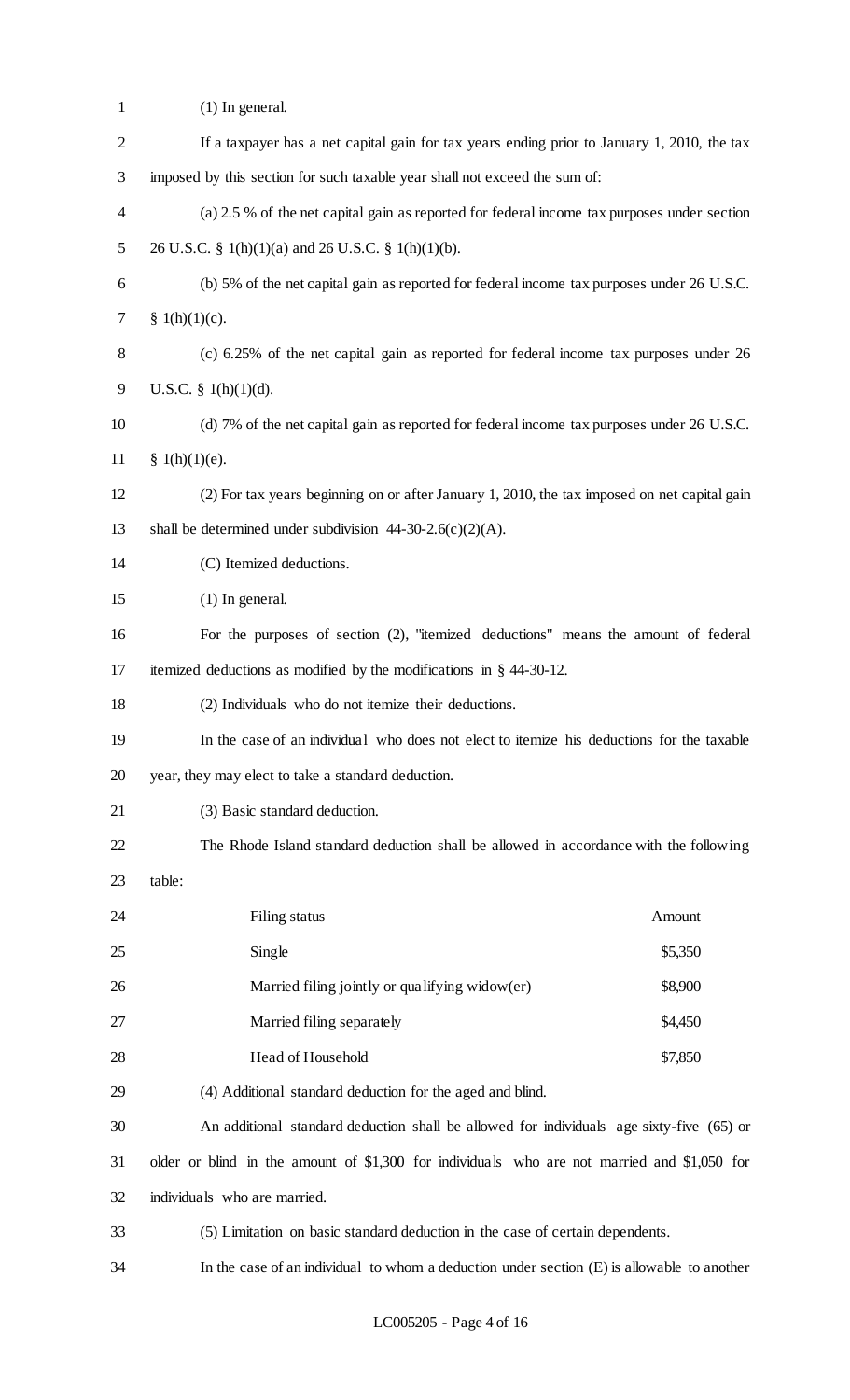| 1              | $(1)$ In general.                                                                            |  |  |  |
|----------------|----------------------------------------------------------------------------------------------|--|--|--|
| $\overline{2}$ | If a taxpayer has a net capital gain for tax years ending prior to January 1, 2010, the tax  |  |  |  |
| 3              | imposed by this section for such taxable year shall not exceed the sum of:                   |  |  |  |
| 4              | (a) 2.5 % of the net capital gain as reported for federal income tax purposes under section  |  |  |  |
| 5              | 26 U.S.C. § 1(h)(1)(a) and 26 U.S.C. § 1(h)(1)(b).                                           |  |  |  |
| 6              | (b) 5% of the net capital gain as reported for federal income tax purposes under 26 U.S.C.   |  |  |  |
| 7              | § $1(h)(1)(c)$ .                                                                             |  |  |  |
| $8\,$          | (c) 6.25% of the net capital gain as reported for federal income tax purposes under 26       |  |  |  |
| 9              | U.S.C. § $1(h)(1)(d)$ .                                                                      |  |  |  |
| 10             | (d) 7% of the net capital gain as reported for federal income tax purposes under 26 U.S.C.   |  |  |  |
| 11             | $\{ (h)(1)(e). \}$                                                                           |  |  |  |
| 12             | (2) For tax years beginning on or after January 1, 2010, the tax imposed on net capital gain |  |  |  |
| 13             | shall be determined under subdivision $44-30-2.6(c)(2)(A)$ .                                 |  |  |  |
| 14             | (C) Itemized deductions.                                                                     |  |  |  |
| 15             | $(1)$ In general.                                                                            |  |  |  |
| 16             | For the purposes of section (2), "itemized deductions" means the amount of federal           |  |  |  |
| 17             | itemized deductions as modified by the modifications in $\S$ 44-30-12.                       |  |  |  |
| 18             | (2) Individuals who do not itemize their deductions.                                         |  |  |  |
| 19             | In the case of an individual who does not elect to itemize his deductions for the taxable    |  |  |  |
| 20             | year, they may elect to take a standard deduction.                                           |  |  |  |
| 21             | (3) Basic standard deduction.                                                                |  |  |  |
| 22             | The Rhode Island standard deduction shall be allowed in accordance with the following        |  |  |  |
| 23             | table:                                                                                       |  |  |  |
| 24             | Filing status<br>Amount                                                                      |  |  |  |
| 25             | Single<br>\$5,350                                                                            |  |  |  |
| 26             | Married filing jointly or qualifying widow(er)<br>\$8,900                                    |  |  |  |
| 27             | Married filing separately<br>\$4,450                                                         |  |  |  |
| 28             | Head of Household<br>\$7,850                                                                 |  |  |  |
| 29             | (4) Additional standard deduction for the aged and blind.                                    |  |  |  |
| 30             | An additional standard deduction shall be allowed for individuals age sixty-five (65) or     |  |  |  |
| 31             | older or blind in the amount of \$1,300 for individuals who are not married and \$1,050 for  |  |  |  |
| 32             | individuals who are married.                                                                 |  |  |  |
| 33             | (5) Limitation on basic standard deduction in the case of certain dependents.                |  |  |  |
| 34             | In the case of an individual to whom a deduction under section $(E)$ is allowable to another |  |  |  |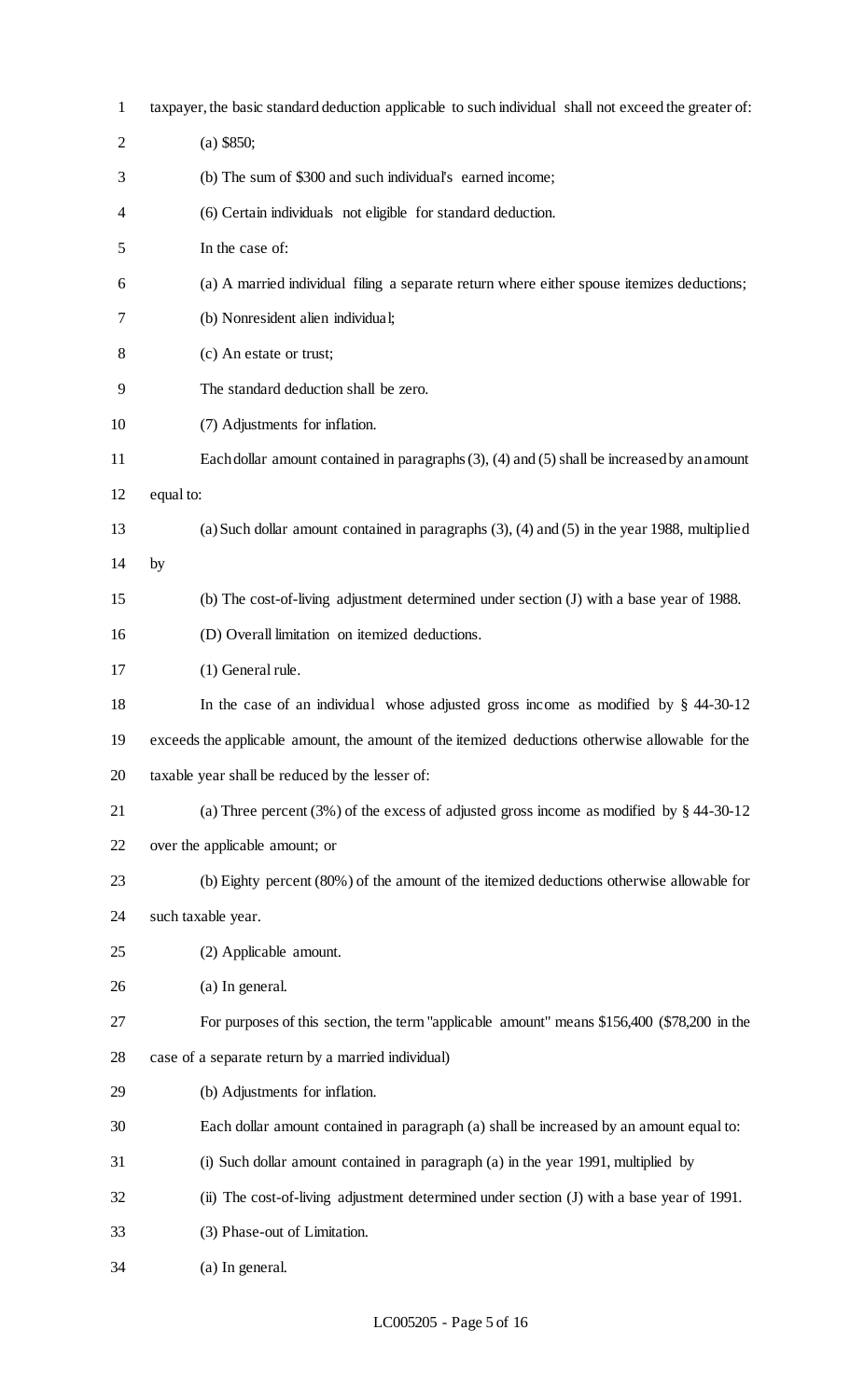| $\mathbf{1}$   | taxpayer, the basic standard deduction applicable to such individual shall not exceed the greater of: |  |  |  |
|----------------|-------------------------------------------------------------------------------------------------------|--|--|--|
| $\overline{2}$ | $(a)$ \$850;                                                                                          |  |  |  |
| 3              | (b) The sum of \$300 and such individual's earned income;                                             |  |  |  |
| 4              | (6) Certain individuals not eligible for standard deduction.                                          |  |  |  |
| 5              | In the case of:                                                                                       |  |  |  |
| 6              | (a) A married individual filing a separate return where either spouse itemizes deductions;            |  |  |  |
| 7              | (b) Nonresident alien individual;                                                                     |  |  |  |
| 8              | (c) An estate or trust;                                                                               |  |  |  |
| 9              | The standard deduction shall be zero.                                                                 |  |  |  |
| 10             | (7) Adjustments for inflation.                                                                        |  |  |  |
| 11             | Each dollar amount contained in paragraphs $(3)$ , $(4)$ and $(5)$ shall be increased by an amount    |  |  |  |
| 12             | equal to:                                                                                             |  |  |  |
| 13             | (a) Such dollar amount contained in paragraphs $(3)$ , $(4)$ and $(5)$ in the year 1988, multiplied   |  |  |  |
| 14             | by                                                                                                    |  |  |  |
| 15             | (b) The cost-of-living adjustment determined under section (J) with a base year of 1988.              |  |  |  |
| 16             | (D) Overall limitation on itemized deductions.                                                        |  |  |  |
| 17             | (1) General rule.                                                                                     |  |  |  |
| 18             | In the case of an individual whose adjusted gross income as modified by $§$ 44-30-12                  |  |  |  |
| 19             | exceeds the applicable amount, the amount of the itemized deductions otherwise allowable for the      |  |  |  |
| 20             | taxable year shall be reduced by the lesser of:                                                       |  |  |  |
| 21             | (a) Three percent (3%) of the excess of adjusted gross income as modified by $\S$ 44-30-12            |  |  |  |
| 22             | over the applicable amount; or                                                                        |  |  |  |
| 23             | (b) Eighty percent (80%) of the amount of the itemized deductions otherwise allowable for             |  |  |  |
| 24             | such taxable year.                                                                                    |  |  |  |
| 25             | (2) Applicable amount.                                                                                |  |  |  |
| 26             | (a) In general.                                                                                       |  |  |  |
| 27             | For purposes of this section, the term "applicable amount" means \$156,400 (\$78,200 in the           |  |  |  |
| 28             | case of a separate return by a married individual)                                                    |  |  |  |
| 29             | (b) Adjustments for inflation.                                                                        |  |  |  |
| 30             | Each dollar amount contained in paragraph (a) shall be increased by an amount equal to:               |  |  |  |
| 31             | (i) Such dollar amount contained in paragraph (a) in the year 1991, multiplied by                     |  |  |  |
| 32             | (ii) The cost-of-living adjustment determined under section (J) with a base year of 1991.             |  |  |  |
| 33             | (3) Phase-out of Limitation.                                                                          |  |  |  |
| 34             | (a) In general.                                                                                       |  |  |  |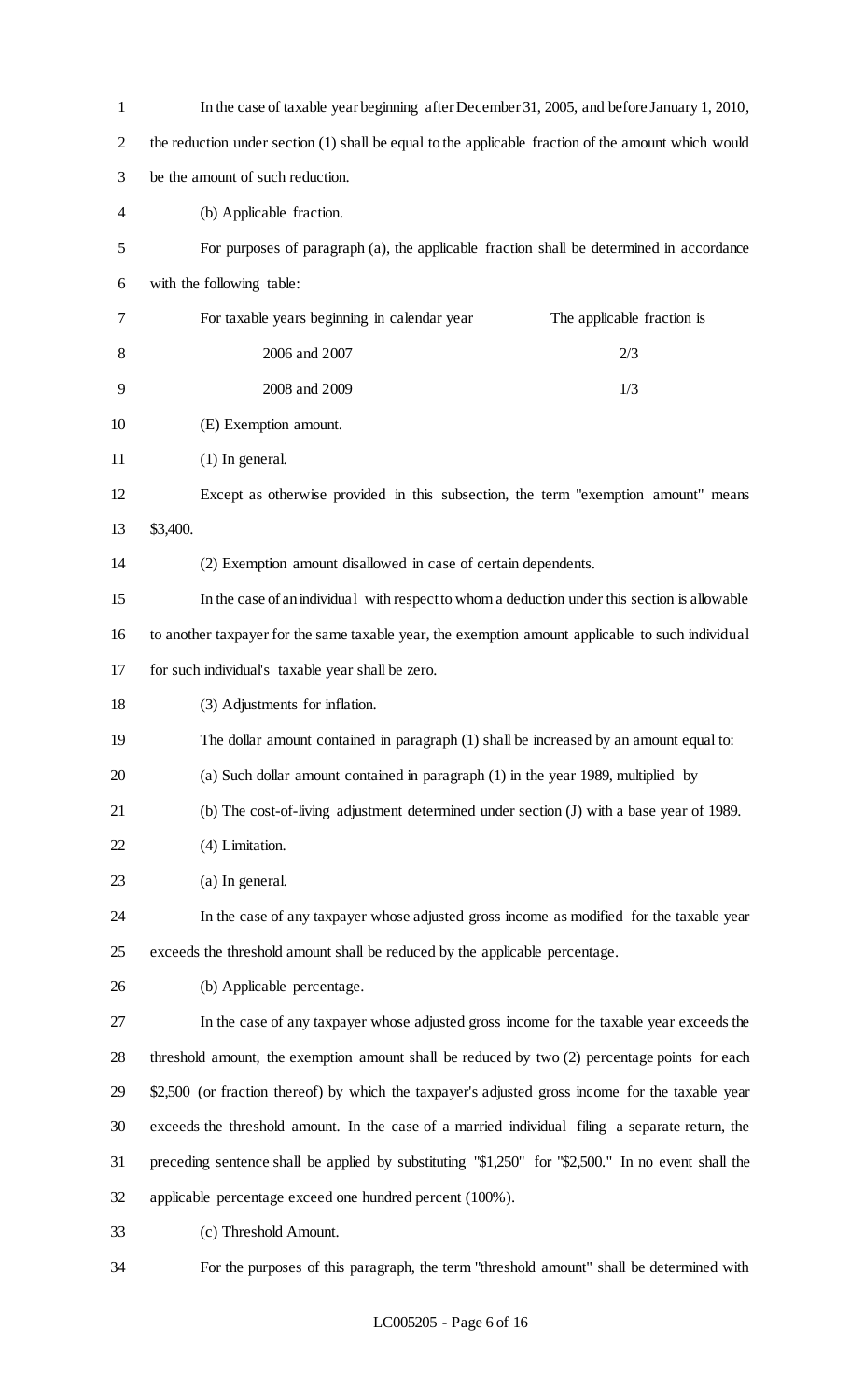| $\mathbf{1}$   | In the case of taxable year beginning after December 31, 2005, and before January 1, 2010,          |  |  |
|----------------|-----------------------------------------------------------------------------------------------------|--|--|
| $\mathbf{2}$   | the reduction under section (1) shall be equal to the applicable fraction of the amount which would |  |  |
| 3              | be the amount of such reduction.                                                                    |  |  |
| $\overline{4}$ | (b) Applicable fraction.                                                                            |  |  |
| 5              | For purposes of paragraph (a), the applicable fraction shall be determined in accordance            |  |  |
| 6              | with the following table:                                                                           |  |  |
| 7              | For taxable years beginning in calendar year<br>The applicable fraction is                          |  |  |
| 8              | 2006 and 2007<br>2/3                                                                                |  |  |
| 9              | 2008 and 2009<br>1/3                                                                                |  |  |
| 10             | (E) Exemption amount.                                                                               |  |  |
| 11             | $(1)$ In general.                                                                                   |  |  |
| 12             | Except as otherwise provided in this subsection, the term "exemption amount" means                  |  |  |
| 13             | \$3,400.                                                                                            |  |  |
| 14             | (2) Exemption amount disallowed in case of certain dependents.                                      |  |  |
| 15             | In the case of an individual with respect to whom a deduction under this section is allowable       |  |  |
| 16             | to another taxpayer for the same taxable year, the exemption amount applicable to such individual   |  |  |
| 17             | for such individual's taxable year shall be zero.                                                   |  |  |
| 18             | (3) Adjustments for inflation.                                                                      |  |  |
| 19             | The dollar amount contained in paragraph (1) shall be increased by an amount equal to:              |  |  |
| 20             | (a) Such dollar amount contained in paragraph (1) in the year 1989, multiplied by                   |  |  |
| 21             | (b) The cost-of-living adjustment determined under section (J) with a base year of 1989.            |  |  |
| 22             | (4) Limitation.                                                                                     |  |  |
| 23             | (a) In general.                                                                                     |  |  |
| 24             | In the case of any taxpayer whose adjusted gross income as modified for the taxable year            |  |  |
| 25             | exceeds the threshold amount shall be reduced by the applicable percentage.                         |  |  |
| 26             | (b) Applicable percentage.                                                                          |  |  |
| 27             | In the case of any taxpayer whose adjusted gross income for the taxable year exceeds the            |  |  |
| 28             | threshold amount, the exemption amount shall be reduced by two (2) percentage points for each       |  |  |
| 29             | \$2,500 (or fraction thereof) by which the taxpayer's adjusted gross income for the taxable year    |  |  |
| 30             | exceeds the threshold amount. In the case of a married individual filing a separate return, the     |  |  |
| 31             | preceding sentence shall be applied by substituting "\$1,250" for "\$2,500." In no event shall the  |  |  |
| 32             | applicable percentage exceed one hundred percent (100%).                                            |  |  |
| 33             | (c) Threshold Amount.                                                                               |  |  |
| 34             | For the purposes of this paragraph, the term "threshold amount" shall be determined with            |  |  |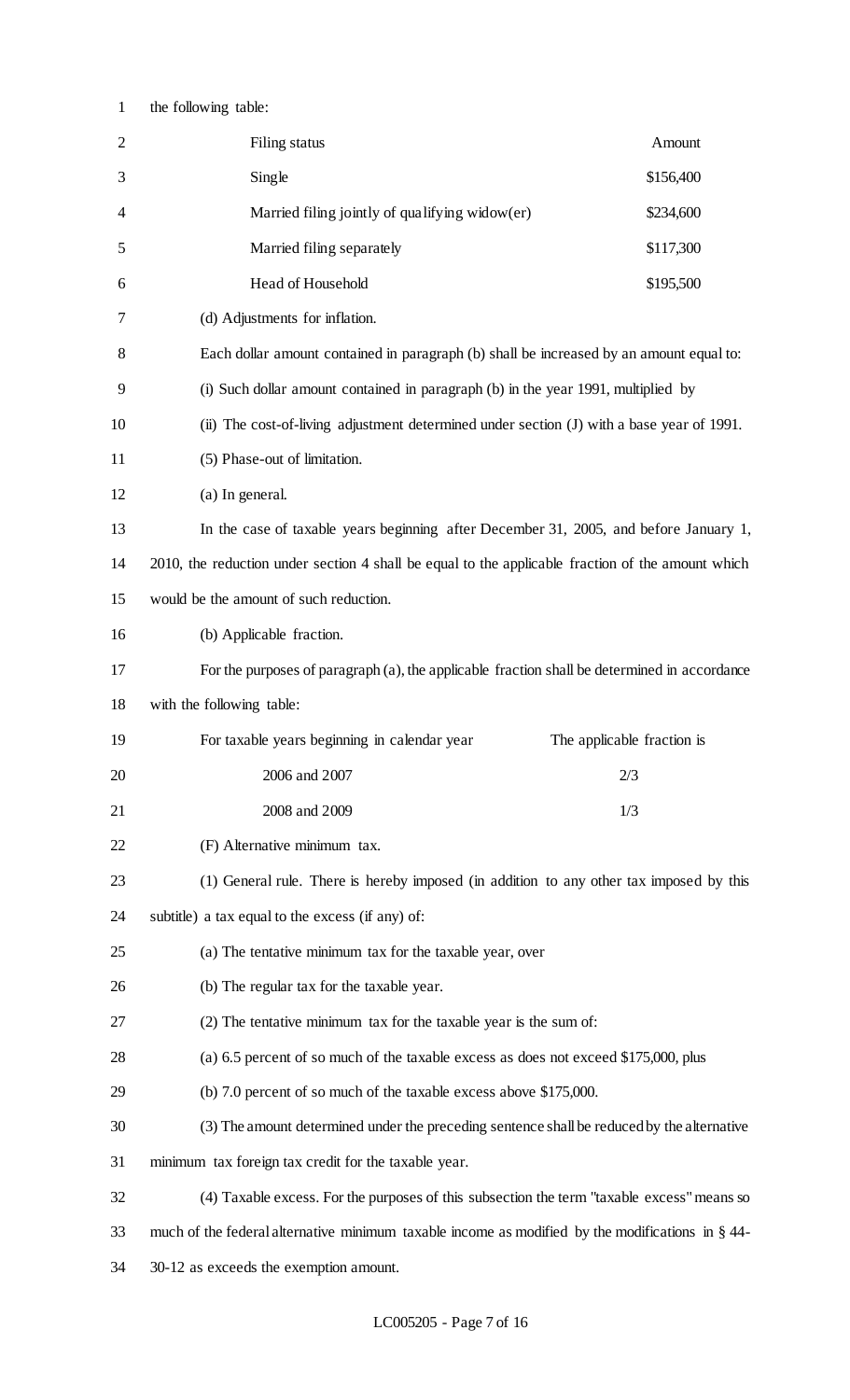| $\mathbf{1}$   | the following table:                                                                                |                            |  |  |
|----------------|-----------------------------------------------------------------------------------------------------|----------------------------|--|--|
| $\overline{2}$ | Filing status                                                                                       | Amount                     |  |  |
| 3              | Single                                                                                              | \$156,400                  |  |  |
| 4              | Married filing jointly of qualifying widow(er)                                                      | \$234,600                  |  |  |
| 5              | Married filing separately                                                                           | \$117,300                  |  |  |
| 6              | Head of Household                                                                                   | \$195,500                  |  |  |
| 7              | (d) Adjustments for inflation.                                                                      |                            |  |  |
| 8              | Each dollar amount contained in paragraph (b) shall be increased by an amount equal to:             |                            |  |  |
| 9              | (i) Such dollar amount contained in paragraph (b) in the year 1991, multiplied by                   |                            |  |  |
| 10             | (ii) The cost-of-living adjustment determined under section (J) with a base year of 1991.           |                            |  |  |
| 11             | (5) Phase-out of limitation.                                                                        |                            |  |  |
| 12             | (a) In general.                                                                                     |                            |  |  |
| 13             | In the case of taxable years beginning after December 31, 2005, and before January 1,               |                            |  |  |
| 14             | 2010, the reduction under section 4 shall be equal to the applicable fraction of the amount which   |                            |  |  |
| 15             | would be the amount of such reduction.                                                              |                            |  |  |
| 16             | (b) Applicable fraction.                                                                            |                            |  |  |
| 17             | For the purposes of paragraph (a), the applicable fraction shall be determined in accordance        |                            |  |  |
| 18             | with the following table:                                                                           |                            |  |  |
| 19             | For taxable years beginning in calendar year                                                        | The applicable fraction is |  |  |
| 20             | 2006 and 2007<br>2/3                                                                                |                            |  |  |
| 21             | 2008 and 2009                                                                                       | 1/3                        |  |  |
| 22             | (F) Alternative minimum tax.                                                                        |                            |  |  |
| 23             | (1) General rule. There is hereby imposed (in addition to any other tax imposed by this             |                            |  |  |
| 24             | subtitle) a tax equal to the excess (if any) of:                                                    |                            |  |  |
| 25             | (a) The tentative minimum tax for the taxable year, over                                            |                            |  |  |
| 26             | (b) The regular tax for the taxable year.                                                           |                            |  |  |
| 27             | (2) The tentative minimum tax for the taxable year is the sum of:                                   |                            |  |  |
| 28             | (a) 6.5 percent of so much of the taxable excess as does not exceed \$175,000, plus                 |                            |  |  |
| 29             | (b) 7.0 percent of so much of the taxable excess above \$175,000.                                   |                            |  |  |
| 30             | (3) The amount determined under the preceding sentence shall be reduced by the alternative          |                            |  |  |
| 31             | minimum tax foreign tax credit for the taxable year.                                                |                            |  |  |
| 32             | (4) Taxable excess. For the purposes of this subsection the term "taxable excess" means so          |                            |  |  |
| 33             | much of the federal alternative minimum taxable income as modified by the modifications in $\S$ 44- |                            |  |  |
| 34             | 30-12 as exceeds the exemption amount.                                                              |                            |  |  |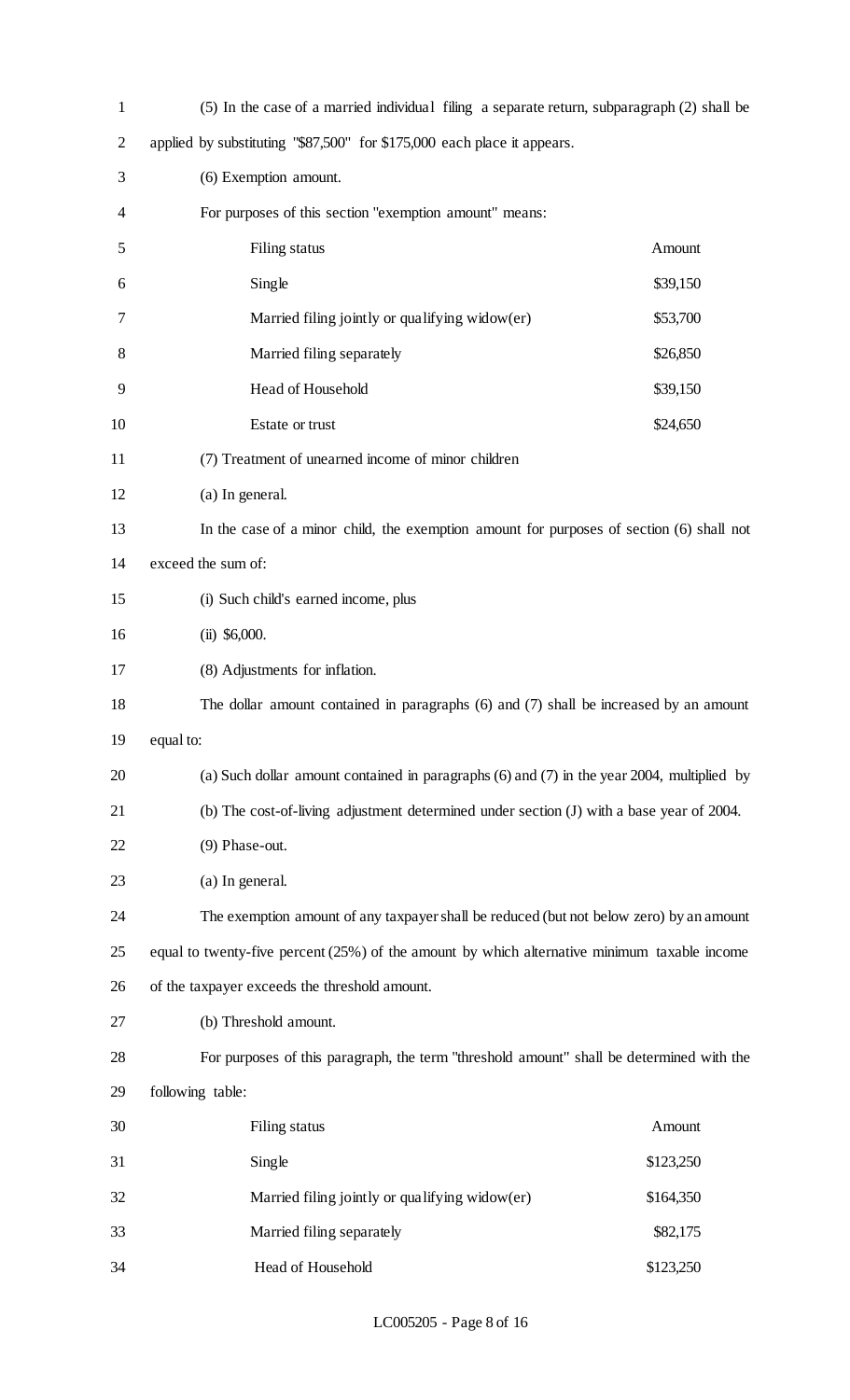| $\mathbf{1}$   | (5) In the case of a married individual filing a separate return, subparagraph (2) shall be    |           |  |  |  |
|----------------|------------------------------------------------------------------------------------------------|-----------|--|--|--|
| $\overline{2}$ | applied by substituting "\$87,500" for \$175,000 each place it appears.                        |           |  |  |  |
| 3              | (6) Exemption amount.                                                                          |           |  |  |  |
| 4              | For purposes of this section "exemption amount" means:                                         |           |  |  |  |
| 5              | Amount<br>Filing status                                                                        |           |  |  |  |
| 6              | Single<br>\$39,150                                                                             |           |  |  |  |
| 7              | Married filing jointly or qualifying widow(er)<br>\$53,700                                     |           |  |  |  |
| 8              | Married filing separately<br>\$26,850                                                          |           |  |  |  |
| 9              | Head of Household<br>\$39,150                                                                  |           |  |  |  |
| 10             | \$24,650<br>Estate or trust                                                                    |           |  |  |  |
| 11             | (7) Treatment of unearned income of minor children                                             |           |  |  |  |
| 12             | (a) In general.                                                                                |           |  |  |  |
| 13             | In the case of a minor child, the exemption amount for purposes of section (6) shall not       |           |  |  |  |
| 14             | exceed the sum of:                                                                             |           |  |  |  |
| 15             | (i) Such child's earned income, plus                                                           |           |  |  |  |
| 16             | $(ii)$ \$6,000.                                                                                |           |  |  |  |
| 17             | (8) Adjustments for inflation.                                                                 |           |  |  |  |
| 18             | The dollar amount contained in paragraphs $(6)$ and $(7)$ shall be increased by an amount      |           |  |  |  |
| 19             | equal to:                                                                                      |           |  |  |  |
| 20             | (a) Such dollar amount contained in paragraphs $(6)$ and $(7)$ in the year 2004, multiplied by |           |  |  |  |
| 21             | (b) The cost-of-living adjustment determined under section (J) with a base year of 2004.       |           |  |  |  |
| 22             | (9) Phase-out.                                                                                 |           |  |  |  |
| 23             | (a) In general.                                                                                |           |  |  |  |
| 24             | The exemption amount of any taxpayer shall be reduced (but not below zero) by an amount        |           |  |  |  |
| 25             | equal to twenty-five percent $(25%)$ of the amount by which alternative minimum taxable income |           |  |  |  |
| 26             | of the taxpayer exceeds the threshold amount.                                                  |           |  |  |  |
| 27             | (b) Threshold amount.                                                                          |           |  |  |  |
| 28             | For purposes of this paragraph, the term "threshold amount" shall be determined with the       |           |  |  |  |
| 29             | following table:                                                                               |           |  |  |  |
| 30             | Filing status                                                                                  | Amount    |  |  |  |
| 31             | Single                                                                                         | \$123,250 |  |  |  |
| 32             | Married filing jointly or qualifying widow(er)                                                 | \$164,350 |  |  |  |
| 33             | Married filing separately                                                                      | \$82,175  |  |  |  |
| 34             | Head of Household                                                                              | \$123,250 |  |  |  |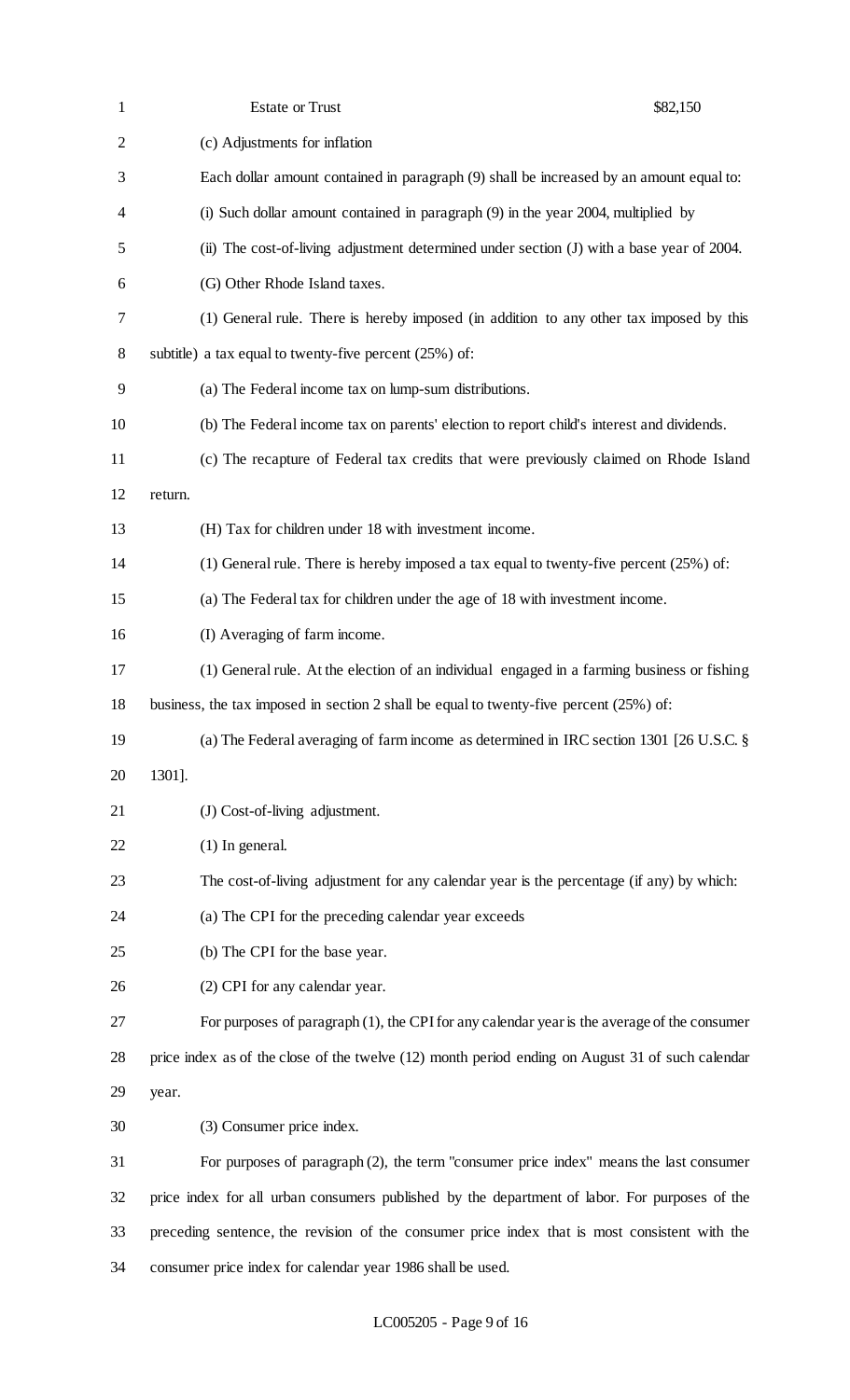| $\mathbf{1}$   | <b>Estate or Trust</b>                                                                           | \$82,150 |
|----------------|--------------------------------------------------------------------------------------------------|----------|
| $\overline{2}$ | (c) Adjustments for inflation                                                                    |          |
| 3              | Each dollar amount contained in paragraph (9) shall be increased by an amount equal to:          |          |
| 4              | (i) Such dollar amount contained in paragraph (9) in the year 2004, multiplied by                |          |
| 5              | (ii) The cost-of-living adjustment determined under section (J) with a base year of 2004.        |          |
| 6              | (G) Other Rhode Island taxes.                                                                    |          |
| 7              | (1) General rule. There is hereby imposed (in addition to any other tax imposed by this          |          |
| 8              | subtitle) a tax equal to twenty-five percent $(25%)$ of:                                         |          |
| 9              | (a) The Federal income tax on lump-sum distributions.                                            |          |
| 10             | (b) The Federal income tax on parents' election to report child's interest and dividends.        |          |
| 11             | (c) The recapture of Federal tax credits that were previously claimed on Rhode Island            |          |
| 12             | return.                                                                                          |          |
| 13             | (H) Tax for children under 18 with investment income.                                            |          |
| 14             | (1) General rule. There is hereby imposed a tax equal to twenty-five percent $(25%)$ of:         |          |
| 15             | (a) The Federal tax for children under the age of 18 with investment income.                     |          |
| 16             | (I) Averaging of farm income.                                                                    |          |
| 17             | (1) General rule. At the election of an individual engaged in a farming business or fishing      |          |
| 18             | business, the tax imposed in section 2 shall be equal to twenty-five percent $(25%)$ of:         |          |
| 19             | (a) The Federal averaging of farm income as determined in IRC section 1301 [26 U.S.C. §          |          |
| 20             | 1301].                                                                                           |          |
| 21             | (J) Cost-of-living adjustment.                                                                   |          |
| 22             | $(1)$ In general.                                                                                |          |
| 23             | The cost-of-living adjustment for any calendar year is the percentage (if any) by which:         |          |
| 24             | (a) The CPI for the preceding calendar year exceeds                                              |          |
| 25             | (b) The CPI for the base year.                                                                   |          |
| 26             | (2) CPI for any calendar year.                                                                   |          |
| 27             | For purposes of paragraph $(1)$ , the CPI for any calendar year is the average of the consumer   |          |
| 28             | price index as of the close of the twelve (12) month period ending on August 31 of such calendar |          |
| 29             | year.                                                                                            |          |
| 30             | (3) Consumer price index.                                                                        |          |
| 31             | For purposes of paragraph (2), the term "consumer price index" means the last consumer           |          |
| 32             | price index for all urban consumers published by the department of labor. For purposes of the    |          |
| 33             | preceding sentence, the revision of the consumer price index that is most consistent with the    |          |
| 34             | consumer price index for calendar year 1986 shall be used.                                       |          |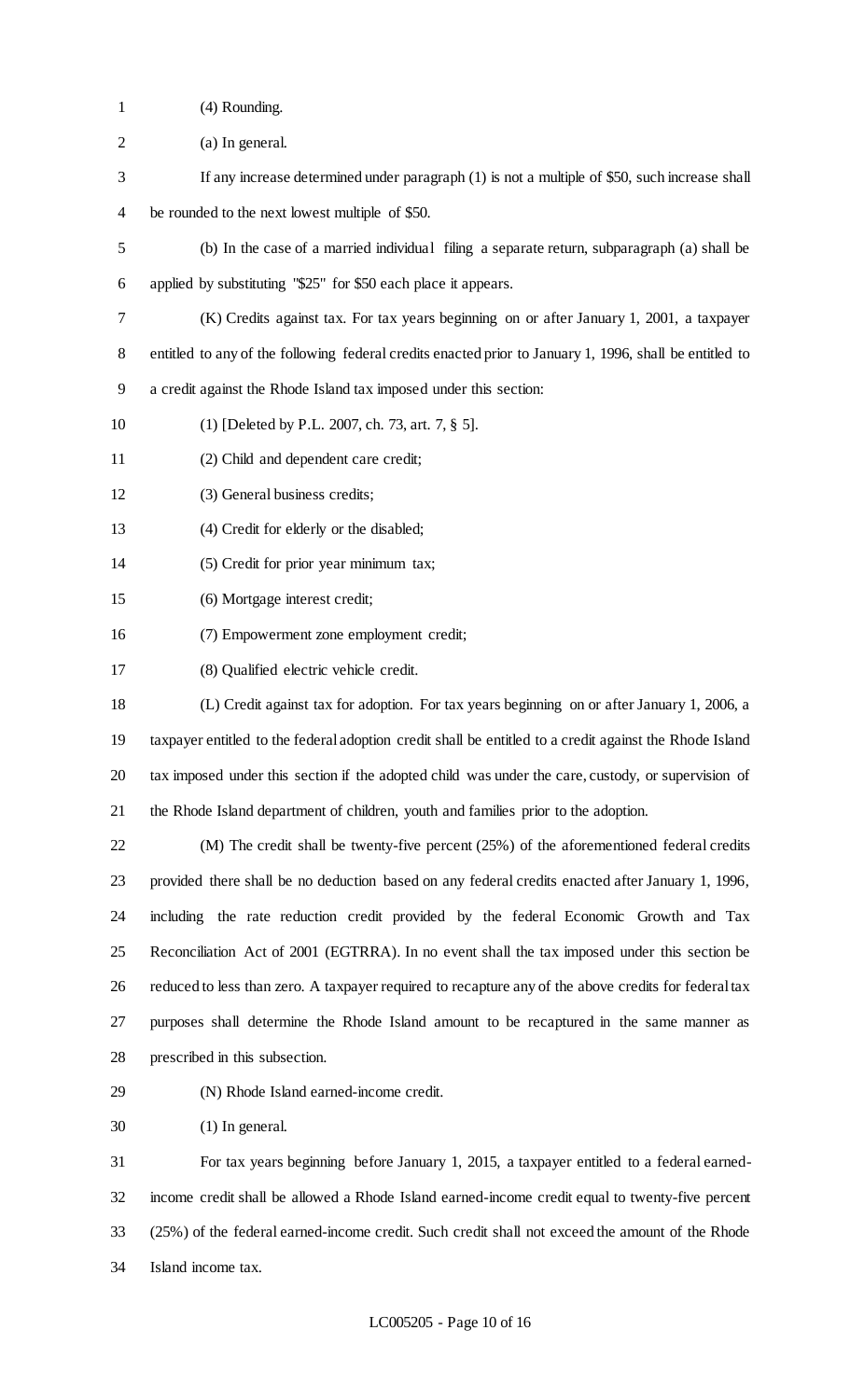- (4) Rounding.
- (a) In general.
- If any increase determined under paragraph (1) is not a multiple of \$50, such increase shall be rounded to the next lowest multiple of \$50.
- (b) In the case of a married individual filing a separate return, subparagraph (a) shall be applied by substituting "\$25" for \$50 each place it appears.
- (K) Credits against tax. For tax years beginning on or after January 1, 2001, a taxpayer
- entitled to any of the following federal credits enacted prior to January 1, 1996, shall be entitled to
- a credit against the Rhode Island tax imposed under this section:
- (1) [Deleted by P.L. 2007, ch. 73, art. 7, § 5].
- (2) Child and dependent care credit;
- (3) General business credits;
- (4) Credit for elderly or the disabled;
- (5) Credit for prior year minimum tax;
- (6) Mortgage interest credit;
- (7) Empowerment zone employment credit;
- (8) Qualified electric vehicle credit.
- (L) Credit against tax for adoption. For tax years beginning on or after January 1, 2006, a taxpayer entitled to the federal adoption credit shall be entitled to a credit against the Rhode Island tax imposed under this section if the adopted child was under the care, custody, or supervision of the Rhode Island department of children, youth and families prior to the adoption.
- (M) The credit shall be twenty-five percent (25%) of the aforementioned federal credits provided there shall be no deduction based on any federal credits enacted after January 1, 1996, including the rate reduction credit provided by the federal Economic Growth and Tax Reconciliation Act of 2001 (EGTRRA). In no event shall the tax imposed under this section be reduced to less than zero. A taxpayer required to recapture any of the above credits for federal tax purposes shall determine the Rhode Island amount to be recaptured in the same manner as prescribed in this subsection.
- (N) Rhode Island earned-income credit.
- (1) In general.

 For tax years beginning before January 1, 2015, a taxpayer entitled to a federal earned- income credit shall be allowed a Rhode Island earned-income credit equal to twenty-five percent (25%) of the federal earned-income credit. Such credit shall not exceed the amount of the Rhode Island income tax.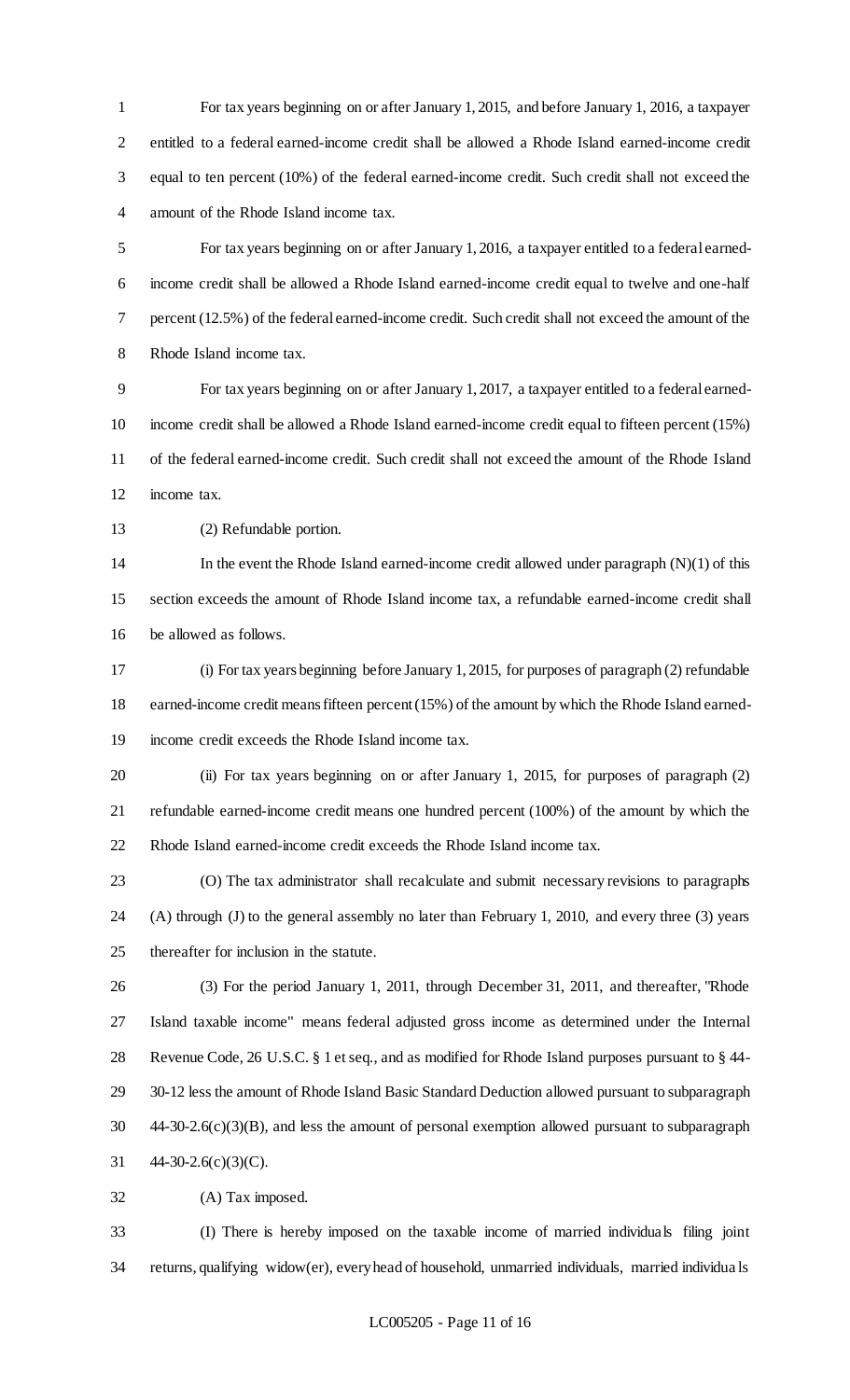For tax years beginning on or after January 1, 2015, and before January 1, 2016, a taxpayer entitled to a federal earned-income credit shall be allowed a Rhode Island earned-income credit equal to ten percent (10%) of the federal earned-income credit. Such credit shall not exceed the amount of the Rhode Island income tax.

 For tax years beginning on or after January 1, 2016, a taxpayer entitled to a federal earned- income credit shall be allowed a Rhode Island earned-income credit equal to twelve and one-half percent (12.5%) of the federal earned-income credit. Such credit shall not exceed the amount of the Rhode Island income tax.

 For tax years beginning on or after January 1, 2017, a taxpayer entitled to a federal earned- income credit shall be allowed a Rhode Island earned-income credit equal to fifteen percent (15%) of the federal earned-income credit. Such credit shall not exceed the amount of the Rhode Island income tax.

(2) Refundable portion.

 In the event the Rhode Island earned-income credit allowed under paragraph (N)(1) of this section exceeds the amount of Rhode Island income tax, a refundable earned-income credit shall be allowed as follows.

 (i) For tax years beginning before January 1, 2015, for purposes of paragraph (2) refundable earned-income credit means fifteen percent (15%) of the amount by which the Rhode Island earned-income credit exceeds the Rhode Island income tax.

 (ii) For tax years beginning on or after January 1, 2015, for purposes of paragraph (2) refundable earned-income credit means one hundred percent (100%) of the amount by which the Rhode Island earned-income credit exceeds the Rhode Island income tax.

 (O) The tax administrator shall recalculate and submit necessary revisions to paragraphs (A) through (J) to the general assembly no later than February 1, 2010, and every three (3) years thereafter for inclusion in the statute.

 (3) For the period January 1, 2011, through December 31, 2011, and thereafter, "Rhode Island taxable income" means federal adjusted gross income as determined under the Internal Revenue Code, 26 U.S.C. § 1 et seq., and as modified for Rhode Island purposes pursuant to § 44- 30-12 less the amount of Rhode Island Basic Standard Deduction allowed pursuant to subparagraph 44-30-2.6(c)(3)(B), and less the amount of personal exemption allowed pursuant to subparagraph 44-30-2.6(c)(3)(C).

(A) Tax imposed.

 (I) There is hereby imposed on the taxable income of married individuals filing joint returns, qualifying widow(er), every head of household, unmarried individuals, married individua ls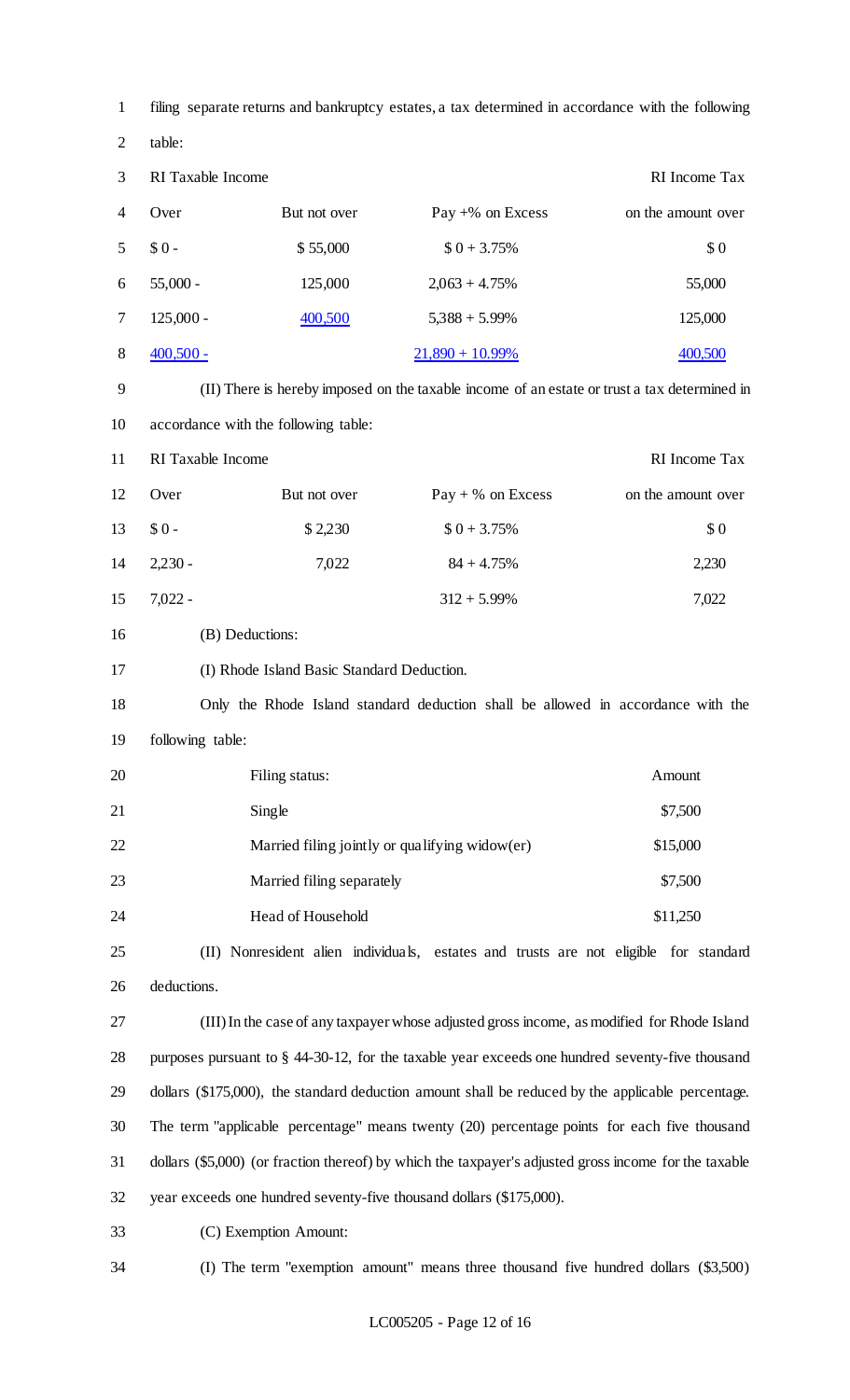| $\mathbf{1}$   | filing separate returns and bankruptcy estates, a tax determined in accordance with the following     |                                            |                                                                                              |                    |
|----------------|-------------------------------------------------------------------------------------------------------|--------------------------------------------|----------------------------------------------------------------------------------------------|--------------------|
| $\overline{2}$ | table:                                                                                                |                                            |                                                                                              |                    |
| 3              | RI Taxable Income                                                                                     |                                            |                                                                                              | RI Income Tax      |
| $\overline{4}$ | Over                                                                                                  | But not over                               | Pay $+$ % on Excess                                                                          | on the amount over |
| 5              | $$0 -$                                                                                                | \$55,000                                   | $$0 + 3.75\%$                                                                                | \$0                |
| 6              | $55,000 -$                                                                                            | 125,000                                    | $2,063 + 4.75\%$                                                                             | 55,000             |
| $\tau$         | $125,000 -$                                                                                           | 400,500                                    | $5,388 + 5.99\%$                                                                             | 125,000            |
| $8\,$          | $400,500 -$                                                                                           |                                            | $21,890 + 10.99\%$                                                                           | 400,500            |
| 9              |                                                                                                       |                                            | (II) There is hereby imposed on the taxable income of an estate or trust a tax determined in |                    |
| 10             |                                                                                                       | accordance with the following table:       |                                                                                              |                    |
| 11             | RI Taxable Income                                                                                     |                                            |                                                                                              | RI Income Tax      |
| 12             | Over                                                                                                  | But not over                               | $Pay + % on Excess$                                                                          | on the amount over |
| 13             | $$0 -$                                                                                                | \$2,230                                    | $$0 + 3.75\%$                                                                                | \$0                |
| 14             | $2,230 -$                                                                                             | 7,022                                      | $84 + 4.75%$                                                                                 | 2,230              |
| 15             | $7,022 -$                                                                                             |                                            | $312 + 5.99\%$                                                                               | 7,022              |
| 16             | (B) Deductions:                                                                                       |                                            |                                                                                              |                    |
| 17             |                                                                                                       | (I) Rhode Island Basic Standard Deduction. |                                                                                              |                    |
| 18             | Only the Rhode Island standard deduction shall be allowed in accordance with the                      |                                            |                                                                                              |                    |
| 19             | following table:                                                                                      |                                            |                                                                                              |                    |
| 20             |                                                                                                       | Filing status:                             |                                                                                              | Amount             |
| 21             | Single<br>\$7,500                                                                                     |                                            |                                                                                              |                    |
| 22             | \$15,000<br>Married filing jointly or qualifying widow $er$ )                                         |                                            |                                                                                              |                    |
| 23             |                                                                                                       | Married filing separately                  |                                                                                              | \$7,500            |
| 24             |                                                                                                       | Head of Household                          |                                                                                              | \$11,250           |
| 25             |                                                                                                       |                                            | (II) Nonresident alien individuals, estates and trusts are not eligible for standard         |                    |
| 26             | deductions.                                                                                           |                                            |                                                                                              |                    |
| 27             | (III) In the case of any taxpayer whose adjusted gross income, as modified for Rhode Island           |                                            |                                                                                              |                    |
| 28             | purposes pursuant to $\S$ 44-30-12, for the taxable year exceeds one hundred seventy-five thousand    |                                            |                                                                                              |                    |
| 29             | dollars (\$175,000), the standard deduction amount shall be reduced by the applicable percentage.     |                                            |                                                                                              |                    |
| 30             | The term "applicable percentage" means twenty (20) percentage points for each five thousand           |                                            |                                                                                              |                    |
| 31             | dollars (\$5,000) (or fraction thereof) by which the taxpayer's adjusted gross income for the taxable |                                            |                                                                                              |                    |
| 32             |                                                                                                       |                                            | year exceeds one hundred seventy-five thousand dollars (\$175,000).                          |                    |
| 33             | (C) Exemption Amount:                                                                                 |                                            |                                                                                              |                    |
| 34             |                                                                                                       |                                            | (I) The term "exemption amount" means three thousand five hundred dollars (\$3,500)          |                    |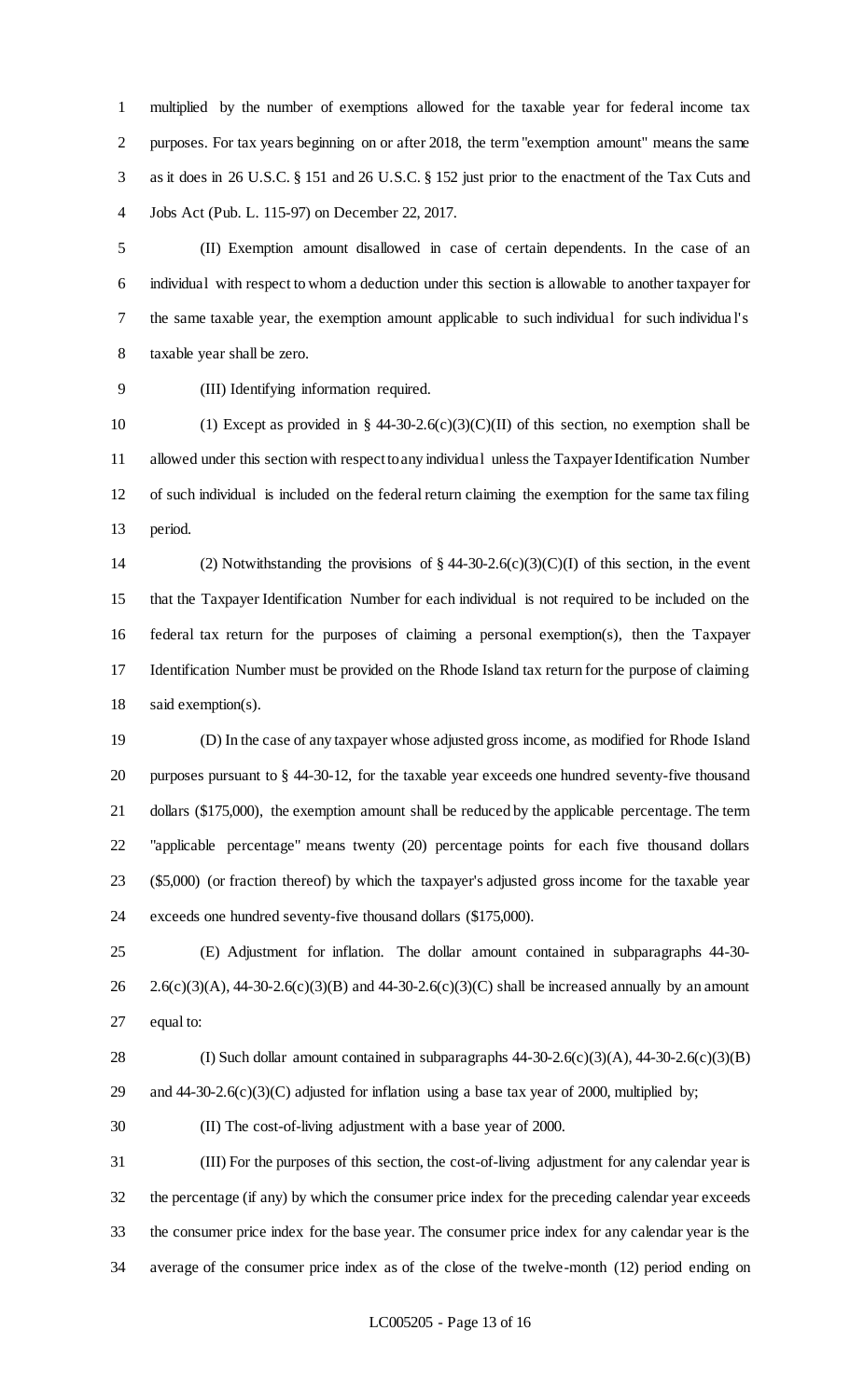multiplied by the number of exemptions allowed for the taxable year for federal income tax purposes. For tax years beginning on or after 2018, the term "exemption amount" means the same as it does in 26 U.S.C. § 151 and 26 U.S.C. § 152 just prior to the enactment of the Tax Cuts and Jobs Act (Pub. L. 115-97) on December 22, 2017.

 (II) Exemption amount disallowed in case of certain dependents. In the case of an individual with respect to whom a deduction under this section is allowable to another taxpayer for the same taxable year, the exemption amount applicable to such individual for such individua l's taxable year shall be zero.

(III) Identifying information required.

10 (1) Except as provided in § 44-30-2.6(c)(3)(C)(II) of this section, no exemption shall be allowed under this section with respect to any individual unless the Taxpayer Identification Number of such individual is included on the federal return claiming the exemption for the same tax filing period.

 (2) Notwithstanding the provisions of § 44-30-2.6(c)(3)(C)(I) of this section, in the event that the Taxpayer Identification Number for each individual is not required to be included on the federal tax return for the purposes of claiming a personal exemption(s), then the Taxpayer Identification Number must be provided on the Rhode Island tax return for the purpose of claiming said exemption(s).

 (D) In the case of any taxpayer whose adjusted gross income, as modified for Rhode Island purposes pursuant to § 44-30-12, for the taxable year exceeds one hundred seventy-five thousand 21 dollars (\$175,000), the exemption amount shall be reduced by the applicable percentage. The term "applicable percentage" means twenty (20) percentage points for each five thousand dollars (\$5,000) (or fraction thereof) by which the taxpayer's adjusted gross income for the taxable year exceeds one hundred seventy-five thousand dollars (\$175,000).

 (E) Adjustment for inflation. The dollar amount contained in subparagraphs 44-30- 26 2.6(c)(3)(A), 44-30-2.6(c)(3)(B) and 44-30-2.6(c)(3)(C) shall be increased annually by an amount equal to:

28 (I) Such dollar amount contained in subparagraphs  $44-30-2.6(c)(3)(A)$ ,  $44-30-2.6(c)(3)(B)$ 29 and  $44-30-2.6(c)(3)(C)$  adjusted for inflation using a base tax year of 2000, multiplied by;

(II) The cost-of-living adjustment with a base year of 2000.

 (III) For the purposes of this section, the cost-of-living adjustment for any calendar year is the percentage (if any) by which the consumer price index for the preceding calendar year exceeds the consumer price index for the base year. The consumer price index for any calendar year is the average of the consumer price index as of the close of the twelve-month (12) period ending on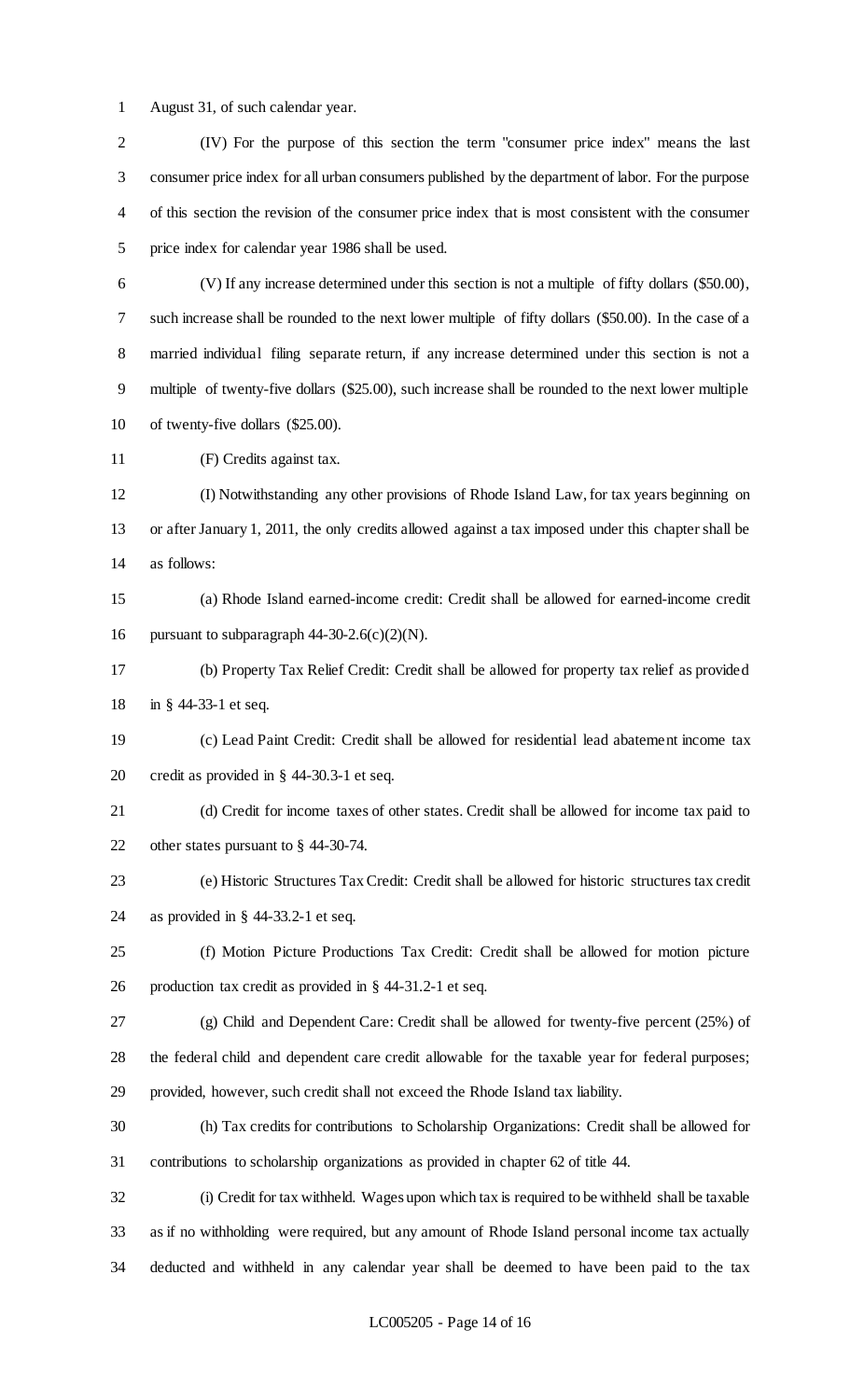August 31, of such calendar year.

 (IV) For the purpose of this section the term "consumer price index" means the last consumer price index for all urban consumers published by the department of labor. For the purpose of this section the revision of the consumer price index that is most consistent with the consumer price index for calendar year 1986 shall be used. (V) If any increase determined under this section is not a multiple of fifty dollars (\$50.00), such increase shall be rounded to the next lower multiple of fifty dollars (\$50.00). In the case of a married individual filing separate return, if any increase determined under this section is not a multiple of twenty-five dollars (\$25.00), such increase shall be rounded to the next lower multiple of twenty-five dollars (\$25.00). (F) Credits against tax. (I) Notwithstanding any other provisions of Rhode Island Law, for tax years beginning on or after January 1, 2011, the only credits allowed against a tax imposed under this chapter shall be as follows: (a) Rhode Island earned-income credit: Credit shall be allowed for earned-income credit 16 pursuant to subparagraph  $44-30-2.6(c)(2)(N)$ . (b) Property Tax Relief Credit: Credit shall be allowed for property tax relief as provided in § 44-33-1 et seq. (c) Lead Paint Credit: Credit shall be allowed for residential lead abatement income tax credit as provided in § 44-30.3-1 et seq. (d) Credit for income taxes of other states. Credit shall be allowed for income tax paid to other states pursuant to § 44-30-74. (e) Historic Structures Tax Credit: Credit shall be allowed for historic structures tax credit as provided in § 44-33.2-1 et seq. (f) Motion Picture Productions Tax Credit: Credit shall be allowed for motion picture production tax credit as provided in § 44-31.2-1 et seq. (g) Child and Dependent Care: Credit shall be allowed for twenty-five percent (25%) of the federal child and dependent care credit allowable for the taxable year for federal purposes; provided, however, such credit shall not exceed the Rhode Island tax liability. (h) Tax credits for contributions to Scholarship Organizations: Credit shall be allowed for contributions to scholarship organizations as provided in chapter 62 of title 44. (i) Credit for tax withheld. Wages upon which tax is required to be withheld shall be taxable as if no withholding were required, but any amount of Rhode Island personal income tax actually deducted and withheld in any calendar year shall be deemed to have been paid to the tax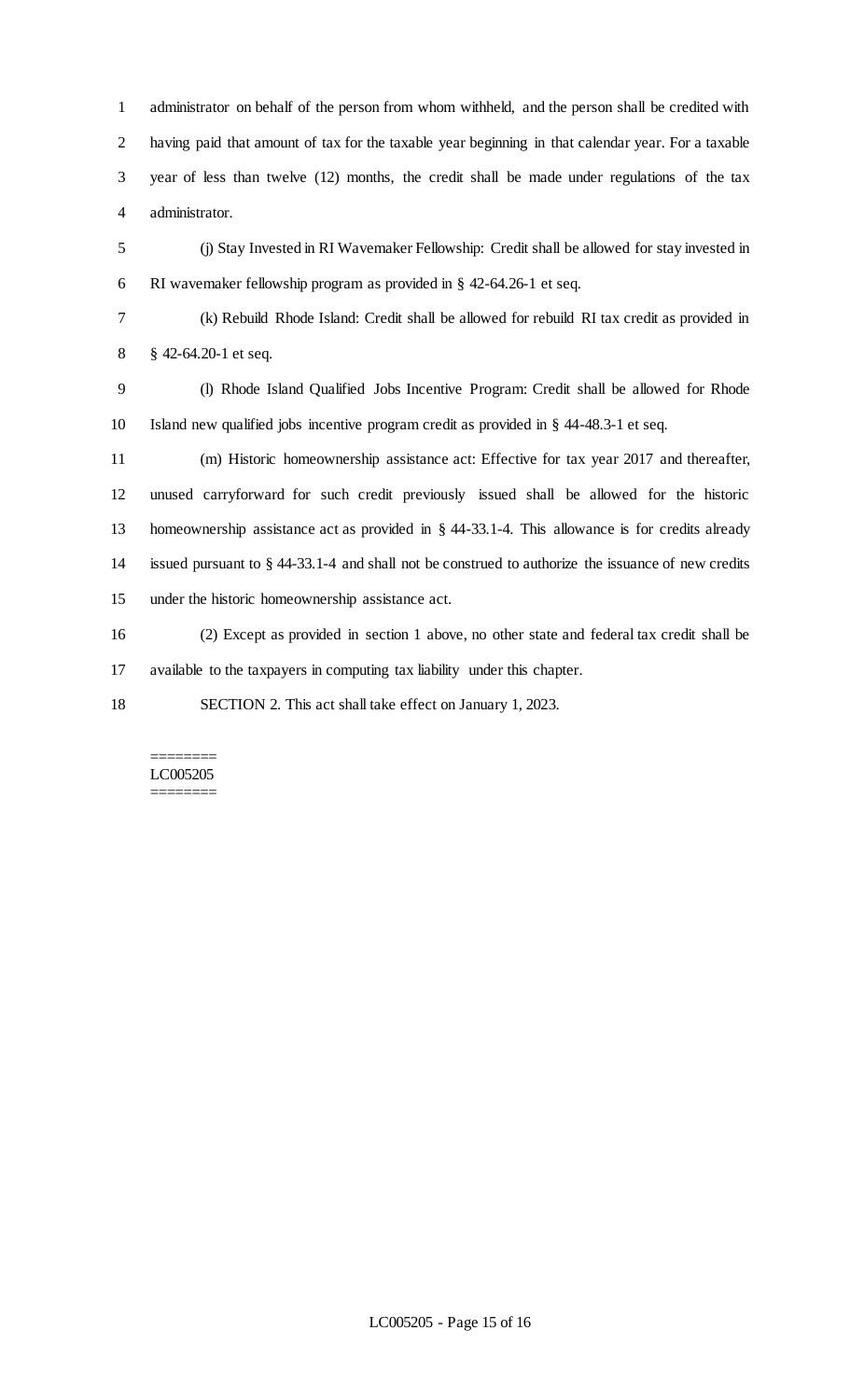administrator on behalf of the person from whom withheld, and the person shall be credited with having paid that amount of tax for the taxable year beginning in that calendar year. For a taxable year of less than twelve (12) months, the credit shall be made under regulations of the tax administrator.

 (j) Stay Invested in RI Wavemaker Fellowship: Credit shall be allowed for stay invested in RI wavemaker fellowship program as provided in § 42-64.26-1 et seq.

(k) Rebuild Rhode Island: Credit shall be allowed for rebuild RI tax credit as provided in

§ 42-64.20-1 et seq.

 (l) Rhode Island Qualified Jobs Incentive Program: Credit shall be allowed for Rhode Island new qualified jobs incentive program credit as provided in § 44-48.3-1 et seq.

 (m) Historic homeownership assistance act: Effective for tax year 2017 and thereafter, unused carryforward for such credit previously issued shall be allowed for the historic homeownership assistance act as provided in § 44-33.1-4. This allowance is for credits already issued pursuant to § 44-33.1-4 and shall not be construed to authorize the issuance of new credits under the historic homeownership assistance act.

 (2) Except as provided in section 1 above, no other state and federal tax credit shall be available to the taxpayers in computing tax liability under this chapter.

SECTION 2. This act shall take effect on January 1, 2023.

#### ======== LC005205 ========